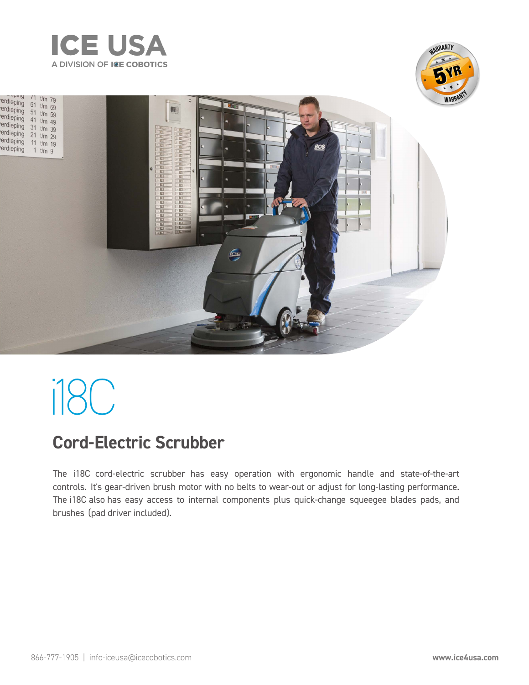

шų





# i18C

## **Cord-Electric Scrubber**

The i18C cord-electric scrubber has easy operation with ergonomic handle and state-of-the-art controls. It's gear-driven brush motor with no belts to wear-out or adjust for long-lasting performance. The i18C also has easy access to internal components plus quick-change squeegee blades pads, and brushes (pad driver included).